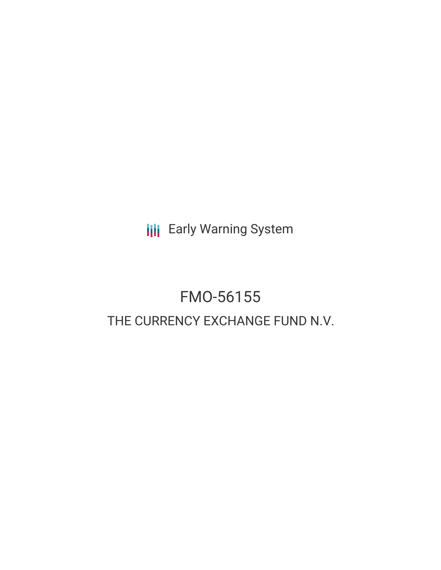**III** Early Warning System

# FMO-56155 THE CURRENCY EXCHANGE FUND N.V.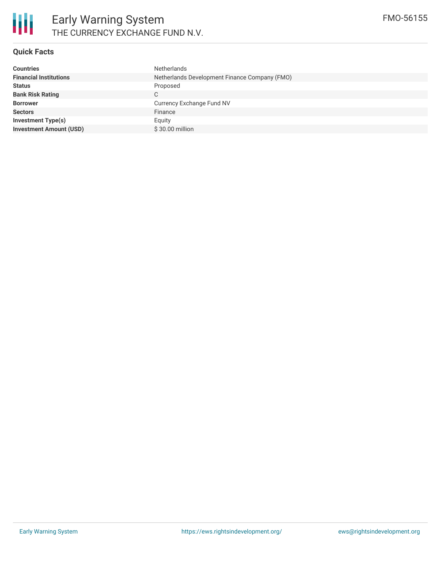

## **Quick Facts**

| Netherlands Development Finance Company (FMO) |
|-----------------------------------------------|
|                                               |
|                                               |
| Currency Exchange Fund NV                     |
|                                               |
|                                               |
|                                               |
|                                               |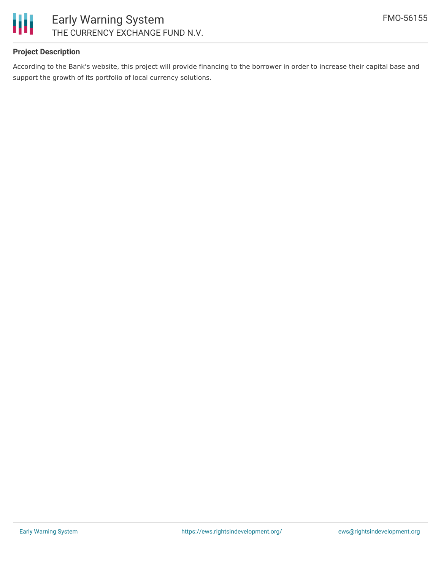

## **Project Description**

According to the Bank's website, this project will provide financing to the borrower in order to increase their capital base and support the growth of its portfolio of local currency solutions.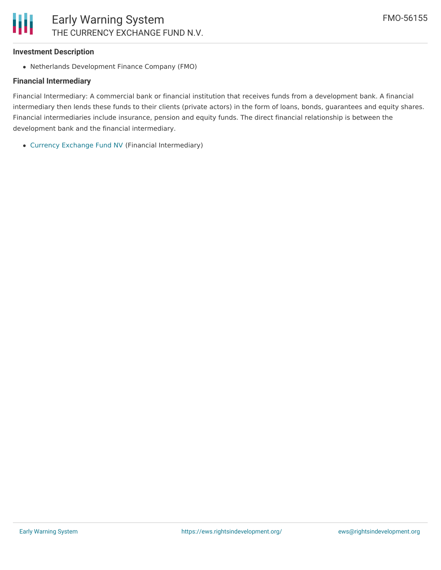## **Investment Description**

Netherlands Development Finance Company (FMO)

## **Financial Intermediary**

Financial Intermediary: A commercial bank or financial institution that receives funds from a development bank. A financial intermediary then lends these funds to their clients (private actors) in the form of loans, bonds, guarantees and equity shares. Financial intermediaries include insurance, pension and equity funds. The direct financial relationship is between the development bank and the financial intermediary.

Currency [Exchange](file:///actor/2319/) Fund NV (Financial Intermediary)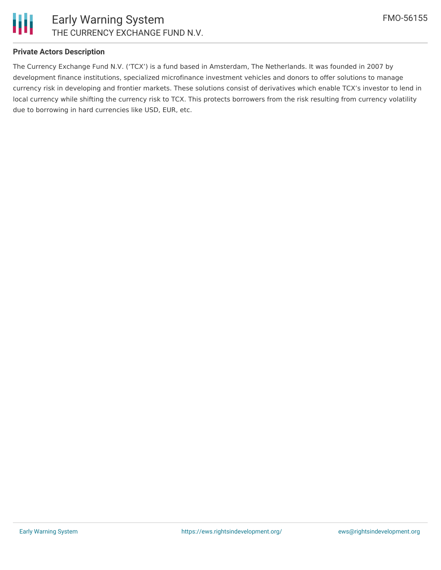

## **Private Actors Description**

The Currency Exchange Fund N.V. ('TCX') is a fund based in Amsterdam, The Netherlands. It was founded in 2007 by development finance institutions, specialized microfinance investment vehicles and donors to offer solutions to manage currency risk in developing and frontier markets. These solutions consist of derivatives which enable TCX's investor to lend in local currency while shifting the currency risk to TCX. This protects borrowers from the risk resulting from currency volatility due to borrowing in hard currencies like USD, EUR, etc.